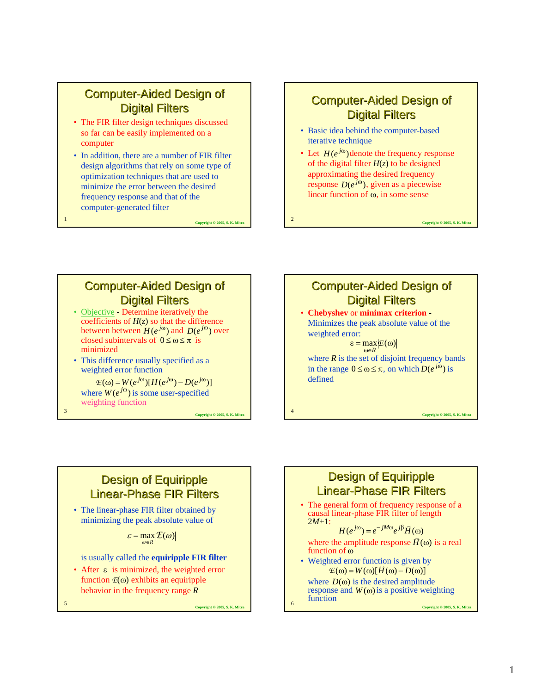### **Computer-Aided Design of Digital Filters**

- The FIR filter design techniques discussed so far can be easily implemented on a computer
- In addition, there are a number of FIR filter design algorithms that rely on some type of optimization techniques that are used to minimize the error between the desired frequency response and that of the computer-generated filter

<sup>1</sup> **Copyright © 2005, S. K. Mitra**

### **Computer-Aided Design of Digital Filters**

- Basic idea behind the computer-based iterative technique
- Let  $H(e^{j\omega})$  denote the frequency response of the digital filter  $H(z)$  to be designed approximating the desired frequency response  $D(e^{j\omega})$ , given as a piecewise linear function of  $\omega$ , in some sense

<sup>2</sup> **Copyright © 2005, S. K. Mitra**

**Computer-Aided Design of Digital Filters** 

- Objective Determine iteratively the coefficients of  $H(z)$  so that the difference between between  $H(e^{j\omega})$  and  $D(e^{j\omega})$  over closed subintervals of  $0 \le \omega \le \pi$  is minimized
- This difference usually specified as a weighted error function

where  $W(e^{j\omega})$  is some user-specified weighting function  $E(\omega) = W(e^{j\omega})[H(e^{j\omega}) - D(e^{j\omega})]$  $W(e^{j\omega})$ 

<sup>3</sup> **Copyright © 2005, S. K. Mitra**



#### **Design of Equiripple Linear-Phase FIR Filters**

• The linear-phase FIR filter obtained by minimizing the peak absolute value of

 $\varepsilon = \max_{\omega \in R} \left| \mathcal{I}(\omega) \right|$ 

is usually called the **equiripple FIR filter**

• After  $\epsilon$  is minimized, the weighted error function *E*(ω) exhibits an equiripple behavior in the frequency range *R*

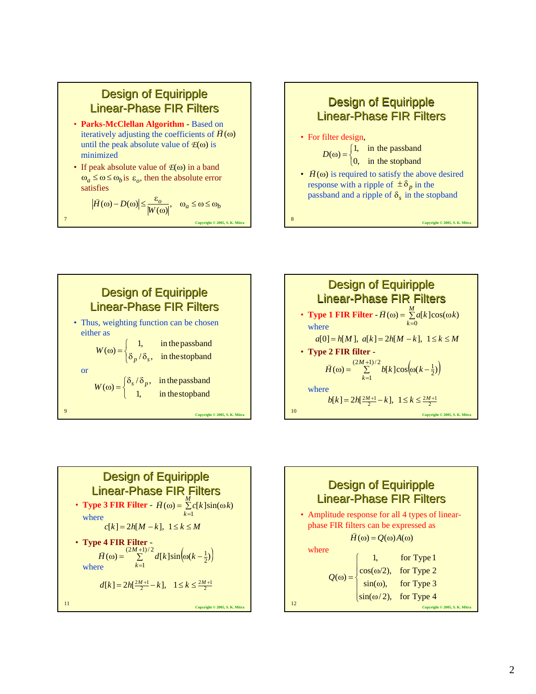### **Design of Equiripple Linear-Phase FIR Filters**

- **Parks-McClellan Algorithm** Based on  $\vec{H}$  and  $\vec{H}$  and  $\vec{H}$  and  $\vec{H}$  and  $\vec{H}$  and  $\vec{H}$  and  $\vec{H}$  and  $\vec{H}$  and  $\vec{H}$  and  $\vec{H}$  and  $\vec{H}$  and  $\vec{H}$  and  $\vec{H}$  and  $\vec{H}$  and  $\vec{H}$  and  $\vec{H}$  and  $\vec{H}$  and  $\vec{H}$  and  $\vec{H$ until the peak absolute value of  $E(\omega)$  is minimized
- If peak absolute value of *E*(ω) in a band  $\omega_a \leq \omega \leq \omega_b$  *is*  $\varepsilon_o$ , then the absolute error satisfies

$$
\left|\breve{H}(\omega) - D(\omega)\right| \le \frac{\varepsilon_o}{\left|W(\omega)\right|}, \quad \omega_a \le \omega \le \omega_b
$$
  
Coorrich 0, 2005, S. K. Mil









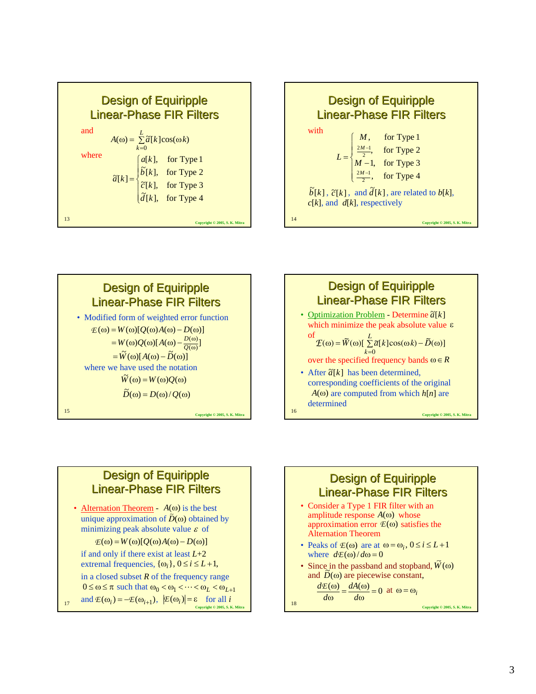







#### **Design of Equiripple Linear-Phase FIR Filters**

• Alternation Theorem -  $A(\omega)$  is the best unique approximation of  $\tilde{D}(\omega)$  obtained by minimizing peak absolute value  $\varepsilon$  of

 $E(\omega) = W(\omega)[Q(\omega)A(\omega) - D(\omega)]$ 

if and only if there exist at least *L*+2 extremal frequencies,  $\{\omega_i\}$ ,  $0 \le i \le L+1$ ,

in a closed subset *R* of the frequency range

 $0 \le \omega \le \pi$  such that  $\omega_0 < \omega_1 < \cdots < \omega_L < \omega_{L+1}$ 

 $\mathbb{E}(\omega_i) = -\mathbb{E}(\omega_{i+1}), \ \ \big|\mathbb{E}(\omega_i)\big| = \varepsilon \quad \text{for all } i$ <br>Copyright © 2005, S. K. Mitra

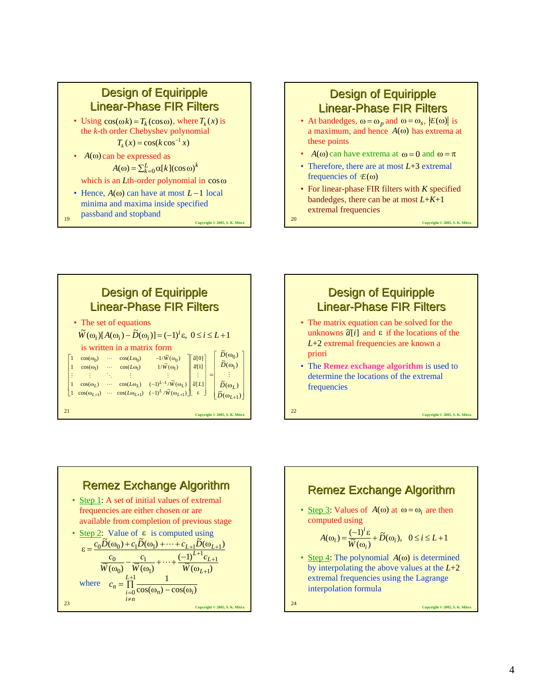# **Design of Equiripple Linear-Phase FIR Filters**

• Using  $cos(\omega k) = T_k(cos \omega)$ , where  $T_k(x)$  is the *k*-th order Chebyshev polynomial

 $T_k(x) = \cos(k \cos^{-1} x)$ 

#### •  $A(\omega)$  can be expressed as  $A(\omega) = \sum_{k=0}^{L} \alpha[k] (\cos \omega)^k$

passband and stopband

- which is an *L*th-order polynomial in cosω
- Hence,  $A(\omega)$  can have at most  $L-1$  local minima and maxima inside specified
- <sup>19</sup> **Copyright © 2005, S. K. Mitra**

### **Design of Equiripple Linear-Phase FIR Filters**

- At bandedges,  $\omega = \omega_p$  and  $\omega = \omega_s$ ,  $\left|E(\omega)\right|$  is a maximum, and hence  $A(\omega)$  has extrema at these points
- $A(\omega)$  can have extrema at  $\omega = 0$  and  $\omega = \pi$
- Therefore, there are at most  $L+3$  extremal frequencies of *E*(ω)
- For linear-phase FIR filters with *K* specified bandedges, there can be at most *L*+*K*+1 extremal frequencies







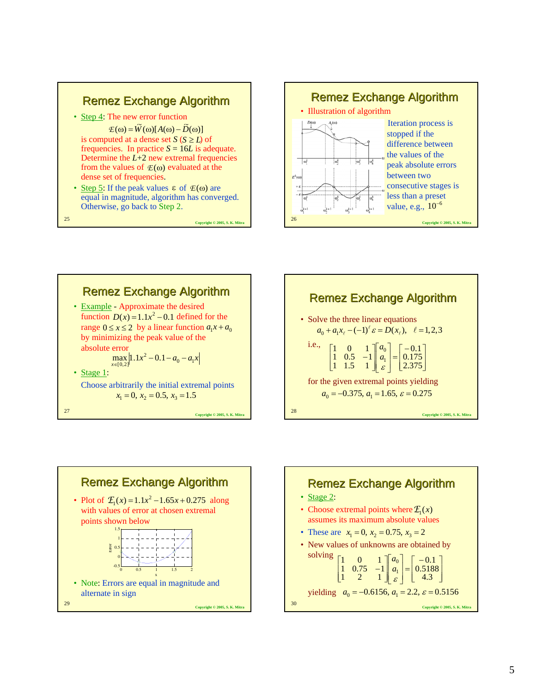









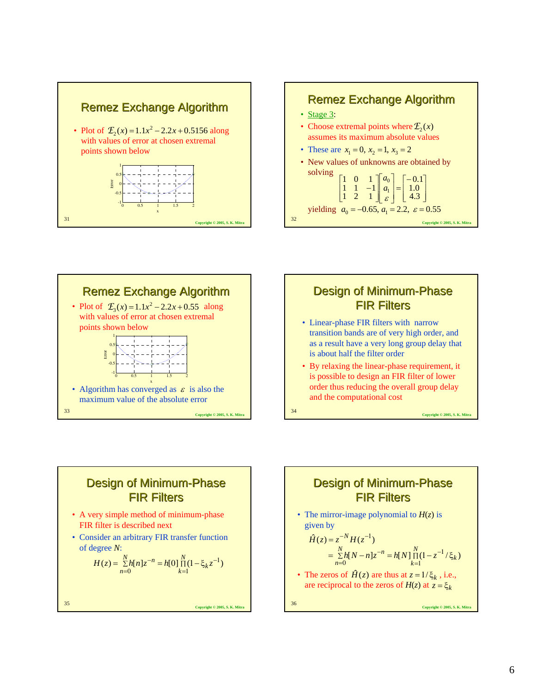







- Linear-phase FIR filters with narrow transition bands are of very high order, and as a result have a very long group delay that is about half the filter order
- By relaxing the linear-phase requirement, it is possible to design an FIR filter of lower order thus reducing the overall group delay and the computational cost

Design of Minimum-Phase **FIR Filters** 

- A very simple method of minimum-phase FIR filter is described next
- Consider an arbitrary FIR transfer function of degree *N*:

$$
H(z) = \sum_{n=0}^{N} h[n]z^{-n} = h[0] \prod_{k=1}^{N} (1 - \xi_k z^{-1})
$$

<sup>35</sup> **Copyright © 2005, S. K. Mitra**

Design of Minimum-Phase **FIR Filters** 

• The mirror-image polynomial to *H*(*z*) is given by

$$
\hat{H}(z) = z^{-N} H(z^{-1})
$$
  
=  $\sum_{n=0}^{N} h[N-n] z^{-n} = h[N] \prod_{k=1}^{N} (1 - z^{-1} / \xi_k)$ 

• The zeros of  $\hat{H}(z)$  are thus at  $z = 1/\xi_k$ , i.e., are reciprocal to the zeros of  $H(z)$  at  $z = \xi_k$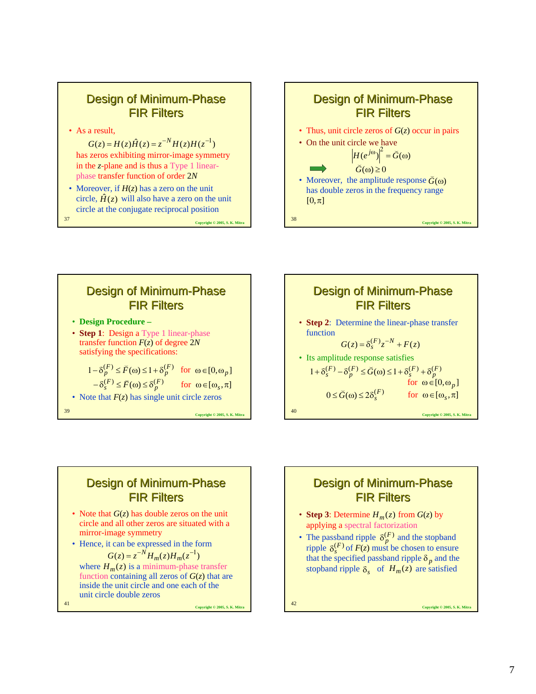### Design of Minimum-Phase **FIR Filters**

• As a result,

has zeros exhibiting mirror-image symmetry in the *z*-plane and is thus a Type 1 linearphase transfer function of order 2*N*  $G(z) = H(z)\hat{H}(z) = z^{-N}H(z)H(z^{-1})$ 

• Moreover, if  $H(z)$  has a zero on the unit circle,  $\hat{H}(z)$  will also have a zero on the unit circle at the conjugate reciprocal position

<sup>37</sup> **Copyright © 2005, S. K. Mitra**







### Design of Minimum-Phase **FIR Filters**

- Note that *G*(*z*) has double zeros on the unit circle and all other zeros are situated with a mirror-image symmetry
- Hence, it can be expressed in the form

$$
G(z) = z^{-N} H_m(z) H_m(z^{-1})
$$

where  $H_m(z)$  is a minimum-phase transfer function containing all zeros of  $G(z)$  that are inside the unit circle and one each of the unit circle double zeros

<sup>41</sup> **Copyright © 2005, S. K. Mitra**

### Design of Minimum-Phase **FIR Filters**

- **Step 3**: Determine  $H_m(z)$  from  $G(z)$  by applying a spectral factorization
- The passband ripple  $\delta_n^{(F)}$  and the stopband ripple  $\delta_{s}^{(F)}$  of  $F(z)$  must be chosen to ensure that the specified passband ripple  $\delta_p$  and the stopband ripple  $\delta_s$  of  $H_m(z)$  are satisfied  $\delta_P^{(F)}$  $\delta_s^{(F)}$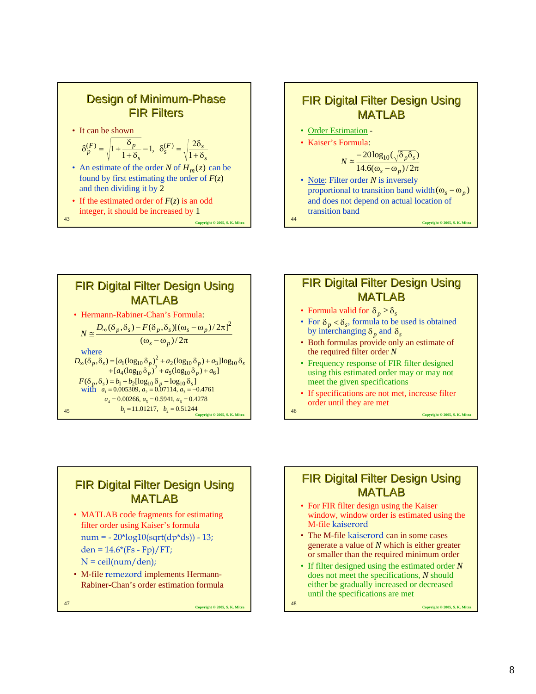



<sup>44</sup> **Copyright © 2005, S. K. Mitra**

 $b_1 = 11.01217, b_2 = 0.51244$  *Copyright* © 2005, S. K. Mitra **FIR Digital Filter Design Using** MATLAB • Hermann-Rabiner-Chan's Formula: where  $F(\delta_p, \delta_s) = b_1 + b_2 [\log_{10} \delta_p - \log_{10} \delta_s]$ <br>with  $a_1 = 0.005309$ ,  $a_2 = 0.07114$ ,  $a_3 = -1$  $\omega_{\rm s}$  –  $\omega_{\rm n}$ )/2 $\pi$  $\approx \frac{D_{\infty}(\delta_p, \delta_s) - F(\delta_p, \delta_s)[(\omega_s - \omega_p)/2\pi}{(\omega_s - \omega_p)/2\pi}$  $(\delta_n, \delta_s) - F(\delta_n, \delta_s)[(\omega_s - \omega_n)/2\pi]^2$  $s - \omega_p$  $N \cong \frac{D_{\infty}(\delta_p, \delta_s) - F(\delta_p, \delta_s)[(\omega_s - \omega_p)}{2\pi\epsilon_p}$  $D_{\infty}(\delta_p, \delta_s) = [a_1(\log_{10} \delta_p)^2 + a_2(\log_{10} \delta_p) + a_3] \log_{10} \delta_s$  $+ [a_4(\log_{10} \delta_p)^2 + a_5(\log_{10} \delta_p) + a_6]$  $a_1 = 0.005309, a_2 = 0.07114, a_3 = -0.4761$  $a_4 = 0.00266$ ,  $a_5 = 0.5941$ ,  $a_6 = 0.4278$ 



- Formula valid for  $\delta_p \ge \delta_s$
- For  $\delta_p < \delta_s$ , formula to be used is obtained by interchanging  $\delta_p$  and  $\delta_s$
- Both formulas provide only an estimate of the required filter order *N*
- Frequency response of FIR filter designed using this estimated order may or may not meet the given specifications
- If specifications are not met, increase filter order until they are met

**FIR Digital Filter Design Using** MATLAB

• MATLAB code fragments for estimating filter order using Kaiser's formula  $num = -20*log10(sqrt(dp * ds)) - 13;$ den =  $14.6*(Fs - Fp)/FT;$ 

 $N =$  ceil(num/den);

• M-file remezord implements Hermann-Rabiner-Chan's order estimation formula

<sup>47</sup> **Copyright © 2005, S. K. Mitra**

### **FIR Digital Filter Design Using** MATLAB

- For FIR filter design using the Kaiser window, window order is estimated using the M-file kaiserord
- The M-file kaiserord can in some cases generate a value of *N* which is either greater or smaller than the required minimum order
- If filter designed using the estimated order *N* does not meet the specifications, *N* should either be gradually increased or decreased until the specifications are met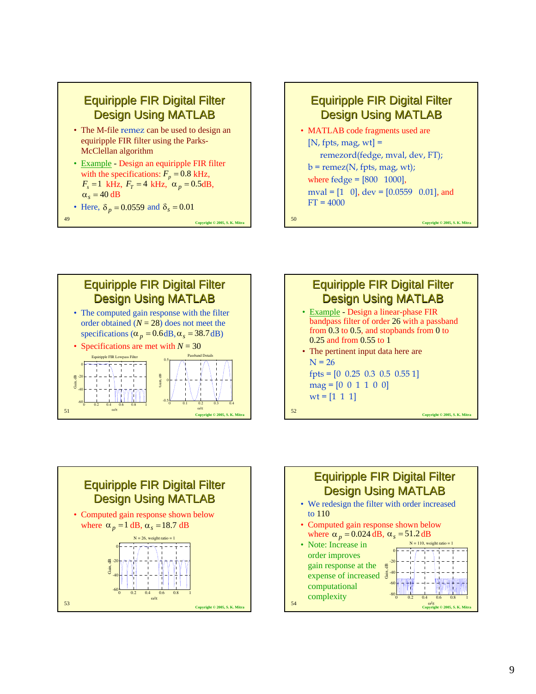

- Example Design an equiripple FIR filter with the specifications:  $F_p = 0.8$  kHz,  $F_s = 1$  kHz,  $F_T = 4$  kHz,  $\alpha_p = 0.5$ dB,  $\alpha_s = 40$  dB
- Here,  $\delta_p = 0.0559$  and  $\delta_s = 0.01$



 $\frac{\omega/\pi}{\omega}$  **Copyright © 2005, S. K. Mitrary Copyright © 2005, S. K. Mitrary Copyright © 2005, S. K. Mitrary Copyright © 2005, S. K. Mitrary Copyright © 2005, S. K. Mitrary Copyright © 2005, S. K. Mitrary Copyright © 200 Equiripple FIR Digital Filter** Design Using MATLAB • The computed gain response with the filter order obtained  $(N = 28)$  does not meet the specifications ( $\alpha_p = 0.6$  dB,  $\alpha_s = 38.7$  dB) Specifications are met with  $N = 30$  $-60$  0.2 0.4 0.6 0.8 1 -40 -20 0 ω/π Gain, dB Equiripple FIR Lowpass Filter  $-0.5$  0.1 0.2 0.3 0.4 0 0.5 ω/π Gain, dB Passband Details



- Example Design a linear-phase FIR bandpass filter of order 26 with a passband from 0.3 to 0.5, and stopbands from 0 to 0.25 and from 0.55 to 1
- The pertinent input data here are  $N = 26$ fpts = [0 0.25 0.3 0.5 0.55 1]

$$
mag = [0 \ 0 \ 1 \ 1 \ 0 \ 0]
$$
  
wt = [1 1 1]



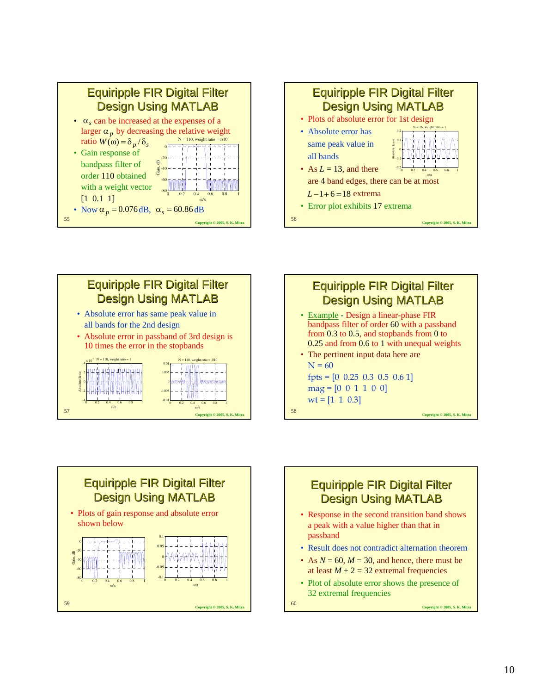







• The pertinent input data here are  $N = 60$ fpts =  $[0 \t0.25 \t0.3 \t0.5 \t0.6 \t1]$  $mag = [0 \ 0 \ 1 \ 1 \ 0 \ 0]$  $wt = [1 \ 1 \ 0.3]$ 

<sup>58</sup> **Copyright © 2005, S. K. Mitra**





• Plot of absolute error shows the presence of 32 extremal frequencies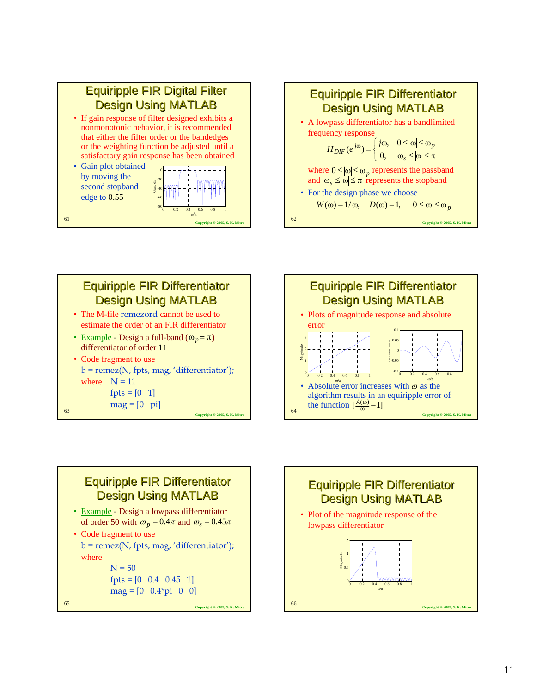











 $b = \text{remez(N, fpts, mag, 'differentiator');}$ where  $N = 50$ 

```
fpts = [0 \t0.4 \t0.45 \t1]mag = [0 \ 0.4*pi \ 0 \ 0]
```
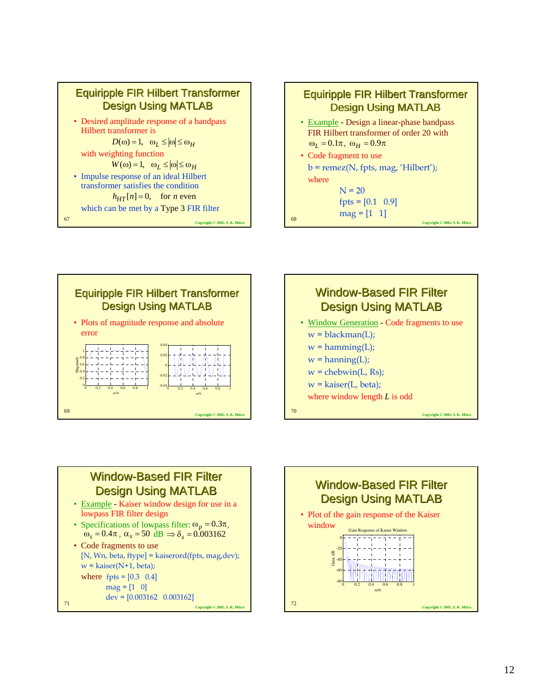









- Example Kaiser window design for use in a lowpass FIR filter design
- Specifications of lowpass filter:  $\omega_p = 0.3\pi$ ,  $\hat{\omega}_s = 0.4\pi$ ,  $\alpha_s = 50$   $\hat{d}B \Rightarrow \delta_s = 0.003162$

<sup>71</sup> **Copyright © 2005, S. K. Mitra** • Code fragments to use [N, Wn, beta, ftype] = kaiserord(fpts, mag,dev);  $w = kaiser(N+1, beta);$ where  $fpts = [0.3 \ 0.4]$  $mag = [1 \ 0]$  $dev = [0.003162 \quad 0.003162]$ 

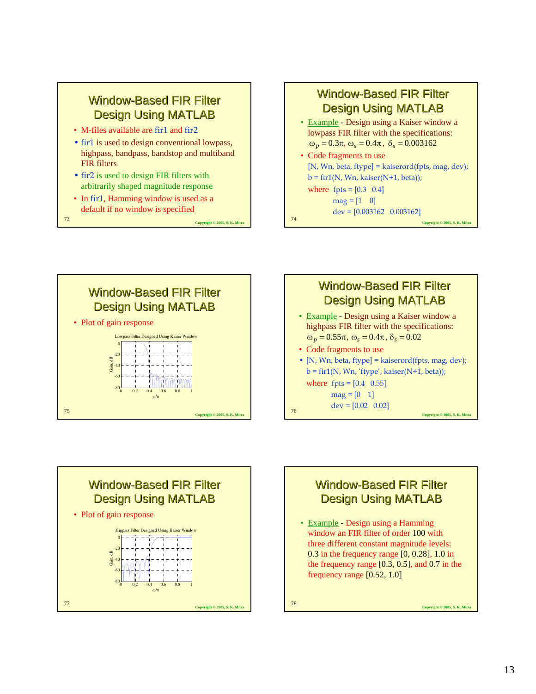# **Window-Based FIR Filter** Design Using MATLAB

- M-files available are fir1 and fir2
- fir1 is used to design conventional lowpass, highpass, bandpass, bandstop and multiband FIR filters
- fir2 is used to design FIR filters with arbitrarily shaped magnitude response
- In fir1, Hamming window is used as a default if no window is specified

<sup>73</sup> **Copyright © 2005, S. K. Mitra**

# **Window-Based FIR Filter** Design Using MATLAB

- Example Design using a Kaiser window a lowpass FIR filter with the specifications:  $ω<sub>p</sub> = 0.3π, ω<sub>s</sub> = 0.4π, δ<sub>s</sub> = 0.003162$
- Code fragments to use [N, Wn, beta, ftype] = kaiserord(fpts, mag, dev);  $b = \text{fir1(N, Wn, kaiser(N+1, beta))};$

where  $fpts = [0.3 \ 0.4]$  $mag = [1 \ 0]$ 

 $dev = [0.003162 \quad 0.003162]$ 

<sup>74</sup> **Copyright © 2005, S. K. Mitra**









• Example - Design using a Hamming window an FIR filter of order 100 with three different constant magnitude levels: 0.3 in the frequency range [0, 0.28], 1.0 in the frequency range  $[0.3, 0.5]$ , and 0.7 in the frequency range [0.52, 1.0]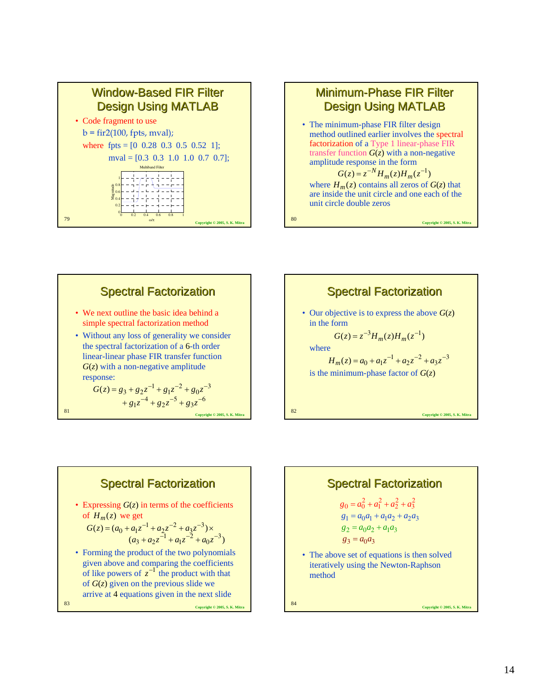

### **Minimum-Phase FIR Filter** Design Using MATLAB

• The minimum-phase FIR filter design method outlined earlier involves the spectral factorization of a Type 1 linear-phase FIR transfer function  $G(z)$  with a non-negative amplitude response in the form

where  $H_m(z)$  contains all zeros of  $G(z)$  that are inside the unit circle and one each of the unit circle double zeros  $G(z) = z^{-N} H_m(z) H_m(z^{-1})$ 

<sup>80</sup> **Copyright © 2005, S. K. Mitra**

<sup>81</sup> **Copyright © 2005, S. K. Mitra Spectral Factorization** • We next outline the basic idea behind a simple spectral factorization method • Without any loss of generality we consider the spectral factorization of a 6-th order linear-linear phase FIR transfer function *G*(*z*) with a non-negative amplitude response:  $G(z) = g_3 + g_2 z^{-1} + g_1 z^{-2} + g_0 z^{-3}$ 

 $+ g_1 z^{-4} + g_2 z^{-5} + g_3 z^{-6}$ <br>Copyright © 2005, S. K. Mitra **Spectral Factorization** • Our objective is to express the above  $G(z)$ in the form where is the minimum-phase factor of  $G(z)$  $G(z) = z^{-3} H_m(z) H_m(z^{-1})$  $H_m(z) = a_0 + a_1 z^{-1} + a_2 z^{-2} + a_3 z^{-3}$ 



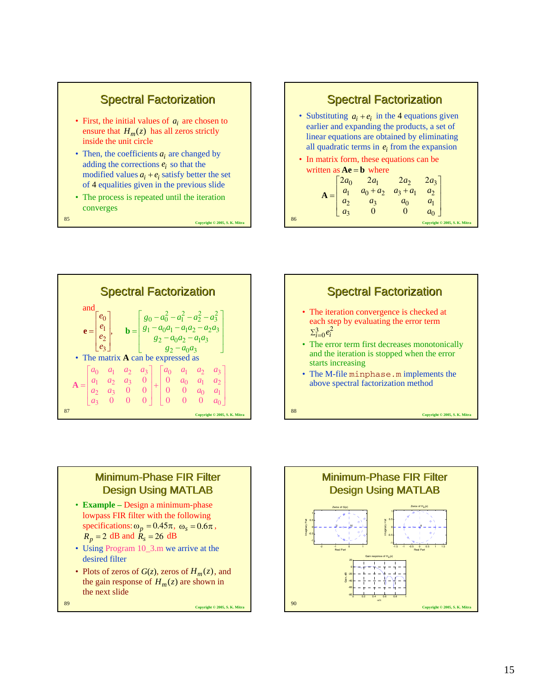

- Then, the coefficients  $a_i$  are changed by adding the corrections  $e_i$  so that the modified values  $a_i + e_i$  satisfy better the set of 4 equalities given in the previous slide
- The process is repeated until the iteration converges

### **Spectral Factorization**

- Substituting  $a_i + e_i$  in the 4 equations given earlier and expanding the products, a set of linear equations are obtained by eliminating all quadratic terms in  $e_i$  from the expansion
- In matrix form, these equations can be written as  $Ae = b$  where

|    |  | $\mathbf{A} = \begin{bmatrix} 2a_0 & 2a_1 & 2a_2 & 2a_3 \\ a_1 & a_0 + a_2 & a_3 + a_1 & a_2 \\ a_2 & a_3 & a_0 & a_1 \\ a_3 & 0 & 0 & a_0 \end{bmatrix}$ |                               |
|----|--|-----------------------------------------------------------------------------------------------------------------------------------------------------------|-------------------------------|
|    |  |                                                                                                                                                           |                               |
|    |  |                                                                                                                                                           |                               |
|    |  |                                                                                                                                                           |                               |
| 86 |  |                                                                                                                                                           | Copyright © 2005, S. K. Mitra |







- **Example –** Design a minimum-phase lowpass FIR filter with the following specifications:  $\omega_p = 0.45\pi$ ,  $\omega_s = 0.6\pi$ ,  $R_p = 2$  dB and  $R_s = 26$  dB
- Using Program 10\_3.m we arrive at the desired filter
- Plots of zeros of  $G(z)$ , zeros of  $H_m(z)$ , and the gain response of  $H_m(z)$  are shown in the next slide

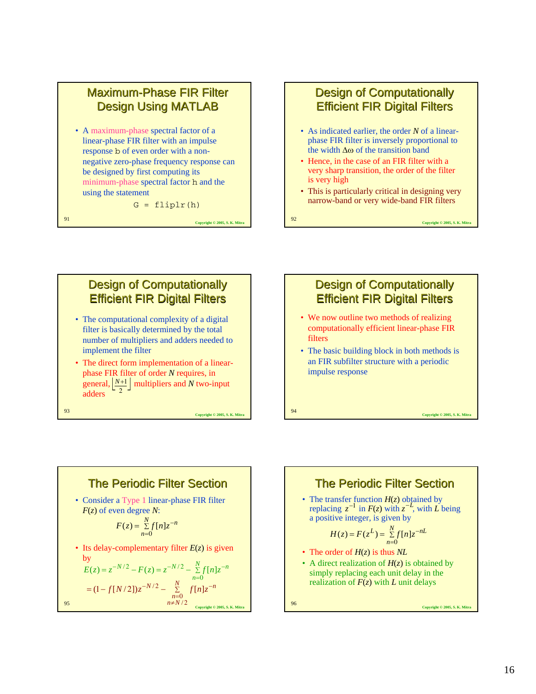

• A maximum-phase spectral factor of a linear-phase FIR filter with an impulse response b of even order with a nonnegative zero-phase frequency response can be designed by first computing its minimum-phase spectral factor h and the using the statement

 $G = \text{fliplr}(h)$ 

<sup>91</sup> **Copyright © 2005, S. K. Mitra**

## **Design of Computationally Efficient FIR Digital Filters**

- As indicated earlier, the order *N* of a linearphase FIR filter is inversely proportional to the width ∆ω of the transition band
- Hence, in the case of an FIR filter with a very sharp transition, the order of the filter is very high
- This is particularly critical in designing very narrow-band or very wide-band FIR filters

<sup>92</sup> **Copyright © 2005, S. K. Mitra**





<sup>94</sup> **Copyright © 2005, S. K. Mitra**

 $n \neq N/2$  Copyright © 2005, S. K. Mitra **The Periodic Filter Section** • Consider a Type 1 linear-phase FIR filter *F*(*z*) of even degree *N*: • Its delay-complementary filter *E*(*z*) is given by ∑ =  $=\sum_{n=1}^{N} f[n]z^{-}$  $F(z) = \sum_{n=0}^{N} f[n] z^{-n}$ 0  $(z) = \sum f[n]$ ∑ =  $=z^{-N/2} - F(z) = z^{-N/2} - \frac{N}{\sum f[n]}z^{-N}$  $E(z) = z^{-N/2} - F(z) = z^{-N/2} - \sum_{n=0}^{N} f[n]z^{-n}$  $\boldsymbol{0}$  $(z) = z^{-N/2} - F(z) = z^{-N/2} - \sum_{r=0}^{N} f[n]$ ∑  $=(1-f[N/2])z^{-N/2} - \sum_{\substack{n=0 \ n \neq N/2}}^N f[n]z^{-n}$  $f[N/2]$ <sub> $z^{-N/2}$ </sub>  $-\sum_{\substack{n=0 \ n \neq N/2}}^{N} f[n] z^{-n}$  $(1-f[N/2])z^{-N/2} - \sum_{\substack{n=0 \ n \neq N/2}}^N$ /  $(1 - f[N/2]) z^{-N/2} - \sum_{r=0}^{N} f[n]$ 

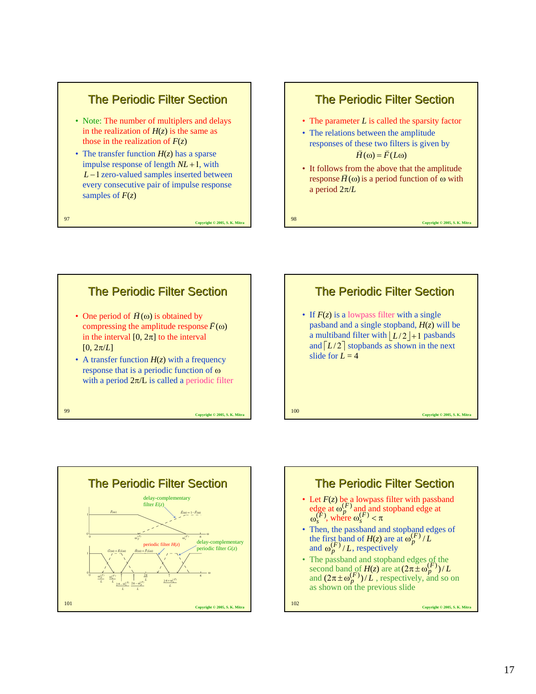### The Periodic Filter Section

- Note: The number of multiplers and delays in the realization of  $H(z)$  is the same as those in the realization of  $F(z)$
- The transfer function  $H(z)$  has a sparse impulse response of length  $NL + 1$ , with *L* −1 zero-valued samples inserted between every consecutive pair of impulse response samples of  $F(z)$

<sup>97</sup> **Copyright © 2005, S. K. Mitra**

#### The Periodic Filter Section

- The parameter *L* is called the sparsity factor
- The relations between the amplitude responses of these two filters is given by  $\overrightarrow{H}(\omega) = \overrightarrow{F}(L\omega)$
- It follows from the above that the amplitude  $H$ (ω) is a period function of ω with a period 2π/*L*







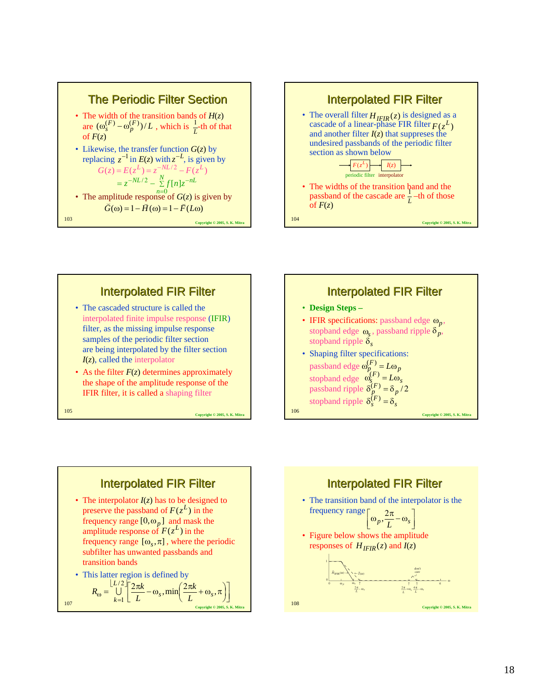







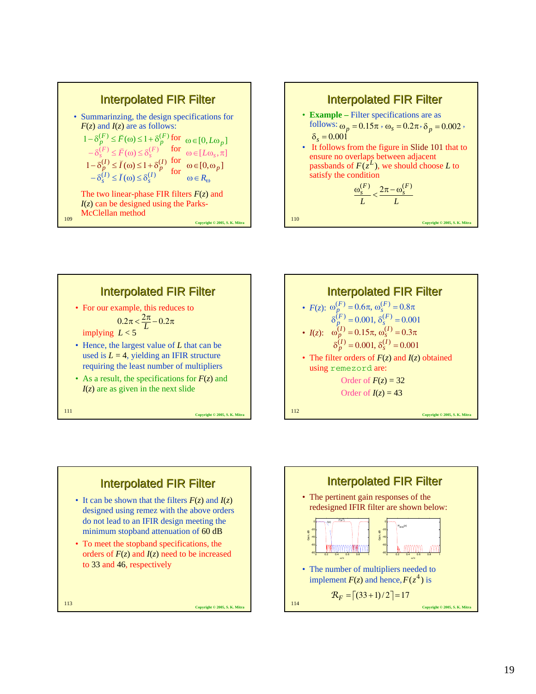









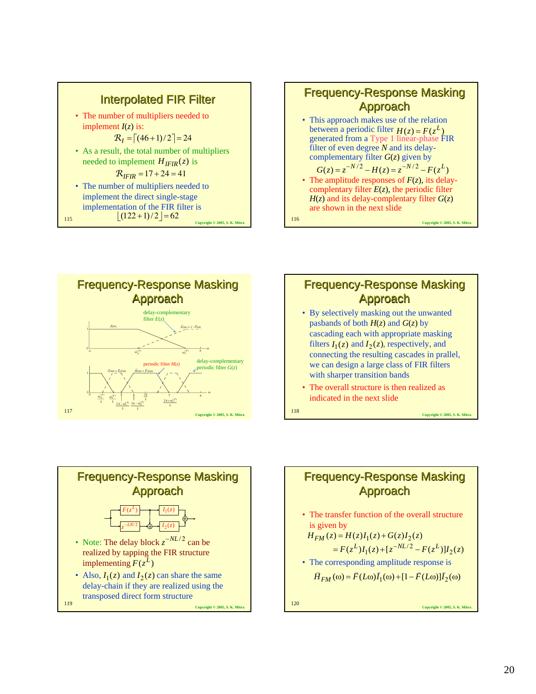

115  $[(122+1)/2] = 62$  Copyright © 2005, S. K. Mitr



Approach Approach

between a periodic filter  $H(z) = F(z^L)$ generated from a Type 1 linear-phase FIR



# Frequency-Response Masking **Approach** • By selectively masking out the unwanted

- pasbands of both  $H(z)$  and  $G(z)$  by cascading each with appropriate masking filters  $I_1(z)$  and  $I_2(z)$ , respectively, and connecting the resulting cascades in prallel, we can design a large class of FIR filters with sharper transition bands
- The overall structure is then realized as indicated in the next slide



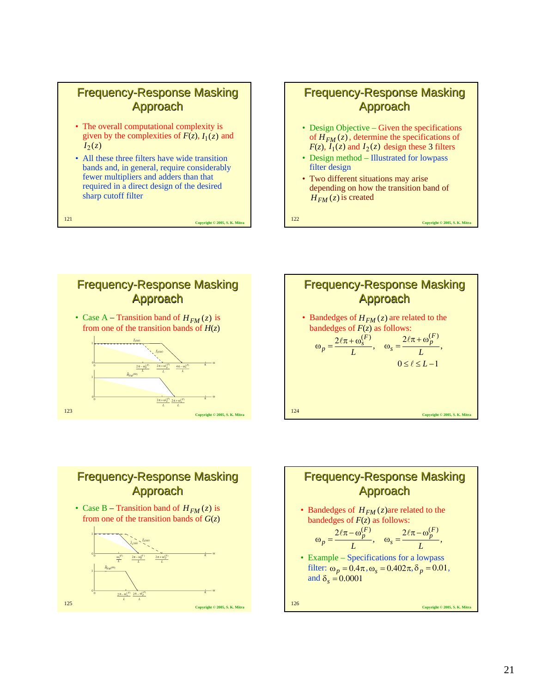### **Frequency-Response Masking Approach**

- The overall computational complexity is given by the complexities of  $F(z)$ ,  $I_1(z)$  and  $I_2(z)$
- All these three filters have wide transition bands and, in general, require considerably fewer multipliers and adders than that required in a direct design of the desired sharp cutoff filter

<sup>121</sup> **Copyright © 2005, S. K. Mitra**

### **Frequency-Response Masking Approach**

- Design Objective Given the specifications of  $H_{FM}(z)$ , determine the specifications of  $F(z)$ ,  $I_1(z)$  and  $I_2(z)$  design these 3 filters
- Design method Illustrated for lowpass filter design
- Two different situations may arise depending on how the transition band of  $H_{FM}(z)$  is created

<sup>122</sup> **Copyright © 2005, S. K. Mitra**







# Frequency-Response Masking **Approach**

• Bandedges of  $H_{FM}(z)$  are related to the bandedges of *F*(*z*) as follows:

$$
\omega_p = \frac{2\ell\pi - \omega_p^{(F)}}{L}, \quad \omega_s = \frac{2\ell\pi - \omega_p^{(F)}}{L},
$$

• Example – Specifications for a lowpass filter:  $\omega_p = 0.4\pi, \omega_s = 0.402\pi, \delta_p = 0.01$ , and  $\delta_s = 0.0001$